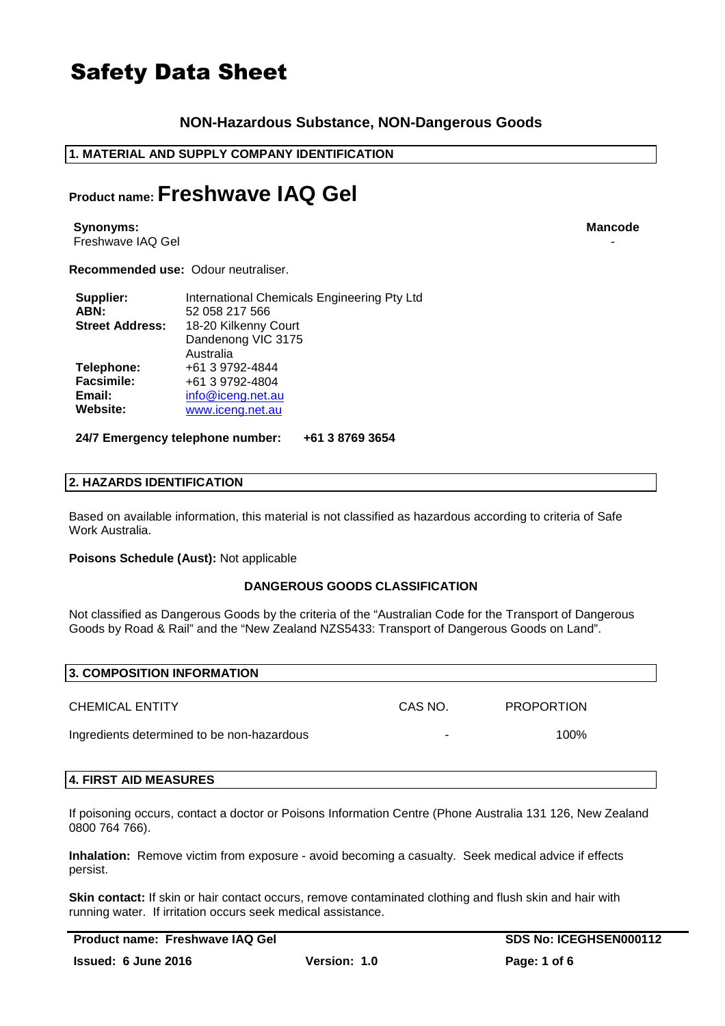# **NON-Hazardous Substance, NON-Dangerous Goods**

# **1. MATERIAL AND SUPPLY COMPANY IDENTIFICATION**

# **Product name: Freshwave IAQ Gel**

**Synonyms: Mancode** Freshwave IAQ Gel

**Recommended use:** Odour neutraliser.

| Supplier:              | International Chemicals Engineering Pty Ltd |
|------------------------|---------------------------------------------|
| ABN:                   | 52 058 217 566                              |
| <b>Street Address:</b> | 18-20 Kilkenny Court                        |
|                        | Dandenong VIC 3175                          |
|                        | Australia                                   |
| Telephone:             | +61 3 9792-4844                             |
| <b>Facsimile:</b>      | +61 3 9792-4804                             |
| Email:                 | info@iceng.net.au                           |
| Website:               | www.iceng.net.au                            |

**24/7 Emergency telephone number: +61 3 8769 3654**

### **2. HAZARDS IDENTIFICATION**

Based on available information, this material is not classified as hazardous according to criteria of Safe Work Australia.

**Poisons Schedule (Aust):** Not applicable

### **DANGEROUS GOODS CLASSIFICATION**

Not classified as Dangerous Goods by the criteria of the "Australian Code for the Transport of Dangerous Goods by Road & Rail" and the "New Zealand NZS5433: Transport of Dangerous Goods on Land".

| 3. COMPOSITION INFORMATION                 |         |                   |
|--------------------------------------------|---------|-------------------|
| <b>CHEMICAL ENTITY</b>                     | CAS NO. | <b>PROPORTION</b> |
| Ingredients determined to be non-hazardous |         | 100%              |

### **4. FIRST AID MEASURES**

If poisoning occurs, contact a doctor or Poisons Information Centre (Phone Australia 131 126, New Zealand 0800 764 766).

**Inhalation:** Remove victim from exposure - avoid becoming a casualty. Seek medical advice if effects persist.

**Skin contact:** If skin or hair contact occurs, remove contaminated clothing and flush skin and hair with running water. If irritation occurs seek medical assistance.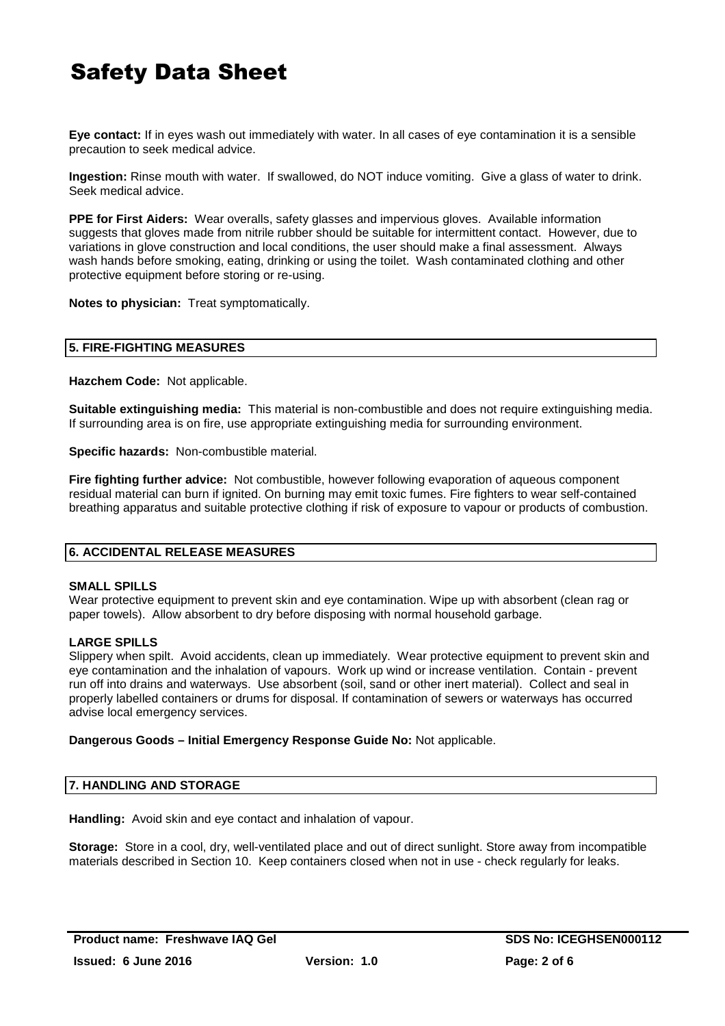**Eye contact:** If in eyes wash out immediately with water. In all cases of eye contamination it is a sensible precaution to seek medical advice.

**Ingestion:** Rinse mouth with water. If swallowed, do NOT induce vomiting. Give a glass of water to drink. Seek medical advice.

**PPE for First Aiders:** Wear overalls, safety glasses and impervious gloves. Available information suggests that gloves made from nitrile rubber should be suitable for intermittent contact. However, due to variations in glove construction and local conditions, the user should make a final assessment. Always wash hands before smoking, eating, drinking or using the toilet. Wash contaminated clothing and other protective equipment before storing or re-using.

**Notes to physician:** Treat symptomatically.

#### **5. FIRE-FIGHTING MEASURES**

**Hazchem Code:** Not applicable.

**Suitable extinguishing media:** This material is non-combustible and does not require extinguishing media. If surrounding area is on fire, use appropriate extinguishing media for surrounding environment.

**Specific hazards:** Non-combustible material.

**Fire fighting further advice:** Not combustible, however following evaporation of aqueous component residual material can burn if ignited. On burning may emit toxic fumes. Fire fighters to wear self-contained breathing apparatus and suitable protective clothing if risk of exposure to vapour or products of combustion.

### **6. ACCIDENTAL RELEASE MEASURES**

#### **SMALL SPILLS**

Wear protective equipment to prevent skin and eye contamination. Wipe up with absorbent (clean rag or paper towels). Allow absorbent to dry before disposing with normal household garbage.

#### **LARGE SPILLS**

Slippery when spilt. Avoid accidents, clean up immediately. Wear protective equipment to prevent skin and eye contamination and the inhalation of vapours. Work up wind or increase ventilation. Contain - prevent run off into drains and waterways. Use absorbent (soil, sand or other inert material). Collect and seal in properly labelled containers or drums for disposal. If contamination of sewers or waterways has occurred advise local emergency services.

#### **Dangerous Goods – Initial Emergency Response Guide No:** Not applicable.

#### **7. HANDLING AND STORAGE**

**Handling:** Avoid skin and eye contact and inhalation of vapour.

**Storage:** Store in a cool, dry, well-ventilated place and out of direct sunlight. Store away from incompatible materials described in Section 10. Keep containers closed when not in use - check regularly for leaks.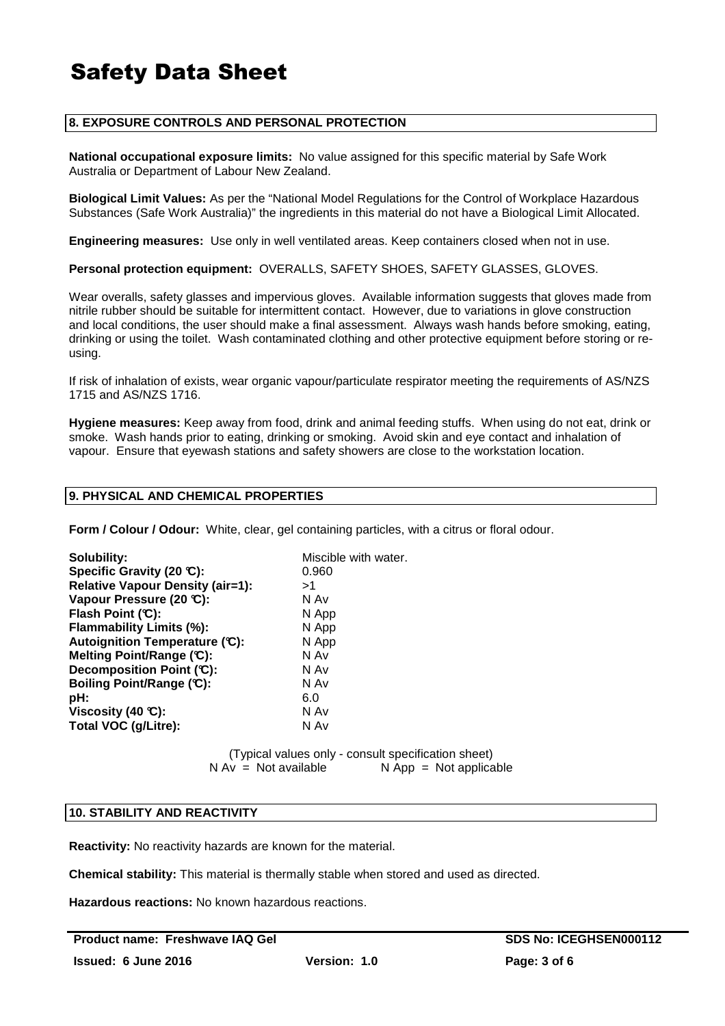### **8. EXPOSURE CONTROLS AND PERSONAL PROTECTION**

**National occupational exposure limits:** No value assigned for this specific material by Safe Work Australia or Department of Labour New Zealand.

**Biological Limit Values:** As per the "National Model Regulations for the Control of Workplace Hazardous Substances (Safe Work Australia)" the ingredients in this material do not have a Biological Limit Allocated.

**Engineering measures:** Use only in well ventilated areas. Keep containers closed when not in use.

**Personal protection equipment:** OVERALLS, SAFETY SHOES, SAFETY GLASSES, GLOVES.

Wear overalls, safety glasses and impervious gloves. Available information suggests that gloves made from nitrile rubber should be suitable for intermittent contact. However, due to variations in glove construction and local conditions, the user should make a final assessment. Always wash hands before smoking, eating, drinking or using the toilet. Wash contaminated clothing and other protective equipment before storing or reusing.

If risk of inhalation of exists, wear organic vapour/particulate respirator meeting the requirements of AS/NZS 1715 and AS/NZS 1716.

**Hygiene measures:** Keep away from food, drink and animal feeding stuffs. When using do not eat, drink or smoke. Wash hands prior to eating, drinking or smoking. Avoid skin and eye contact and inhalation of vapour. Ensure that eyewash stations and safety showers are close to the workstation location.

#### **9. PHYSICAL AND CHEMICAL PROPERTIES**

**Form / Colour / Odour:** White, clear, gel containing particles, with a citrus or floral odour.

| Solubility:                             | Miscible with water. |
|-----------------------------------------|----------------------|
| Specific Gravity (20 °C):               | 0.960                |
| <b>Relative Vapour Density (air=1):</b> | >1                   |
| Vapour Pressure (20 °C):                | N Av                 |
| Flash Point (C):                        | N App                |
| Flammability Limits (%):                | N App                |
| Autoignition Temperature (C):           | N App                |
| Melting Point/Range (C):                | N Av                 |
| Decomposition Point (C):                | N Av                 |
| Boiling Point/Range (C):                | N Av                 |
| pH:                                     | 6.0                  |
| Viscosity (40 $\mathbb{C}$ ):           | N Av                 |
| Total VOC (g/Litre):                    | N Av                 |

(Typical values only - consult specification sheet)<br>  $N Av = Not available$ <br>  $N Aop = Not$  applica  $N$  App = Not applicable

#### **10. STABILITY AND REACTIVITY**

**Reactivity:** No reactivity hazards are known for the material.

**Chemical stability:** This material is thermally stable when stored and used as directed.

**Hazardous reactions:** No known hazardous reactions.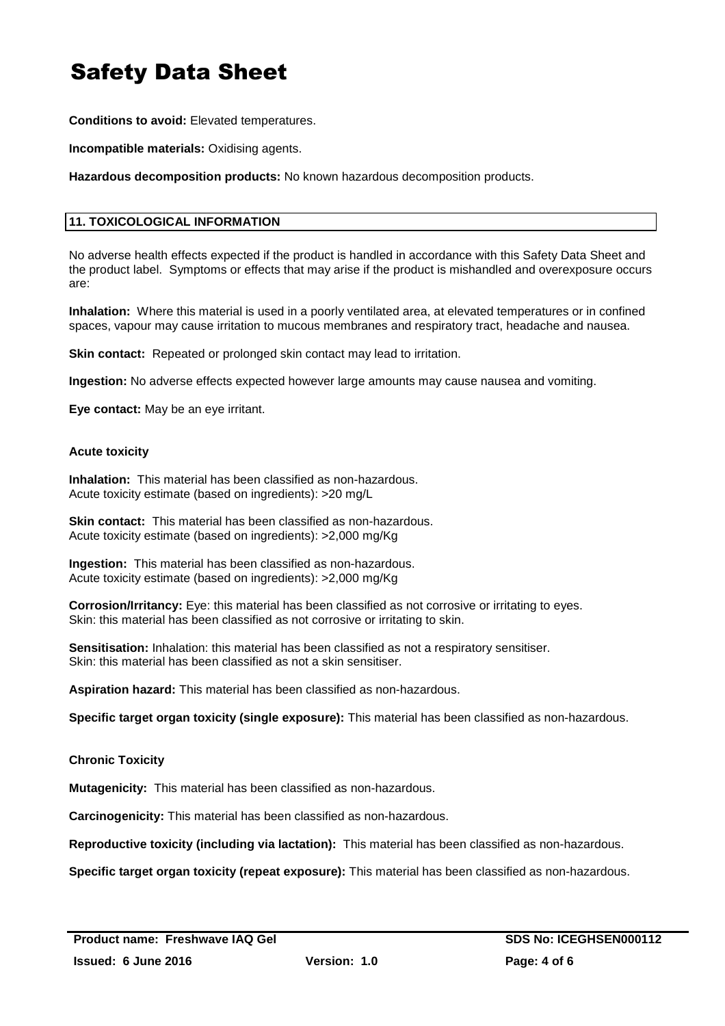**Conditions to avoid:** Elevated temperatures.

**Incompatible materials:** Oxidising agents.

**Hazardous decomposition products:** No known hazardous decomposition products.

# **11. TOXICOLOGICAL INFORMATION**

No adverse health effects expected if the product is handled in accordance with this Safety Data Sheet and the product label. Symptoms or effects that may arise if the product is mishandled and overexposure occurs are:

**Inhalation:** Where this material is used in a poorly ventilated area, at elevated temperatures or in confined spaces, vapour may cause irritation to mucous membranes and respiratory tract, headache and nausea.

**Skin contact:** Repeated or prolonged skin contact may lead to irritation.

**Ingestion:** No adverse effects expected however large amounts may cause nausea and vomiting.

**Eye contact:** May be an eye irritant.

#### **Acute toxicity**

**Inhalation:** This material has been classified as non-hazardous. Acute toxicity estimate (based on ingredients): >20 mg/L

**Skin contact:** This material has been classified as non-hazardous. Acute toxicity estimate (based on ingredients): >2,000 mg/Kg

**Ingestion:** This material has been classified as non-hazardous. Acute toxicity estimate (based on ingredients): >2,000 mg/Kg

**Corrosion/Irritancy:** Eye: this material has been classified as not corrosive or irritating to eyes. Skin: this material has been classified as not corrosive or irritating to skin.

**Sensitisation:** Inhalation: this material has been classified as not a respiratory sensitiser. Skin: this material has been classified as not a skin sensitiser.

**Aspiration hazard:** This material has been classified as non-hazardous.

**Specific target organ toxicity (single exposure):** This material has been classified as non-hazardous.

### **Chronic Toxicity**

**Mutagenicity:** This material has been classified as non-hazardous.

**Carcinogenicity:** This material has been classified as non-hazardous.

**Reproductive toxicity (including via lactation):** This material has been classified as non-hazardous.

**Specific target organ toxicity (repeat exposure):** This material has been classified as non-hazardous.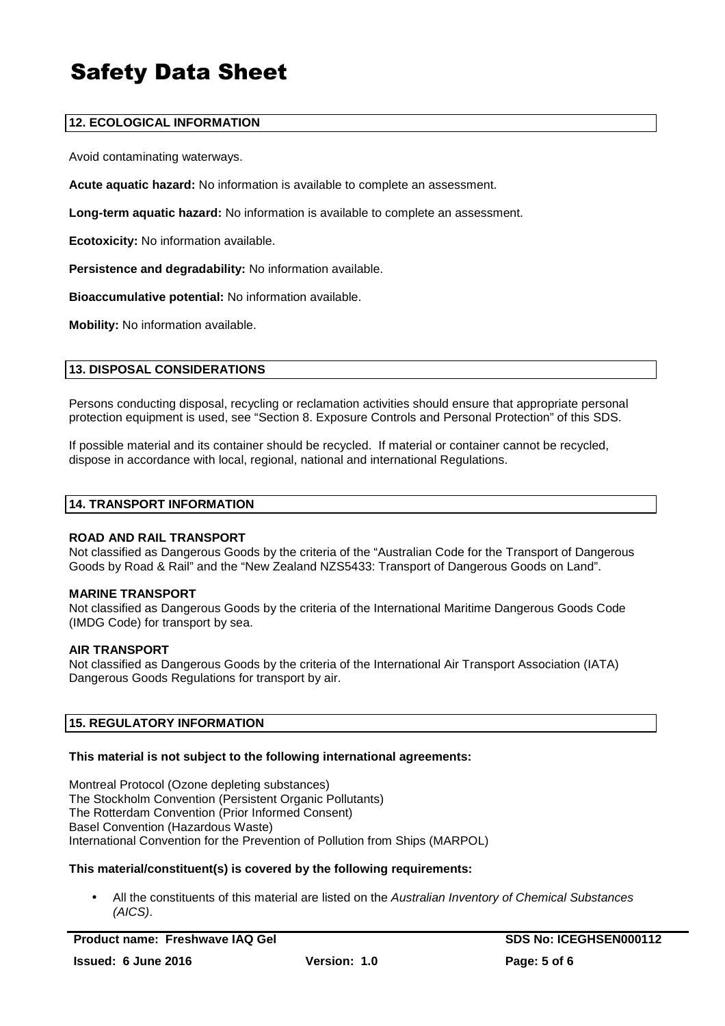# **12. ECOLOGICAL INFORMATION**

Avoid contaminating waterways.

**Acute aquatic hazard:** No information is available to complete an assessment.

**Long-term aquatic hazard:** No information is available to complete an assessment.

**Ecotoxicity:** No information available.

**Persistence and degradability:** No information available.

**Bioaccumulative potential:** No information available.

**Mobility:** No information available.

### **13. DISPOSAL CONSIDERATIONS**

Persons conducting disposal, recycling or reclamation activities should ensure that appropriate personal protection equipment is used, see "Section 8. Exposure Controls and Personal Protection" of this SDS.

If possible material and its container should be recycled. If material or container cannot be recycled, dispose in accordance with local, regional, national and international Regulations.

#### **14. TRANSPORT INFORMATION**

#### **ROAD AND RAIL TRANSPORT**

Not classified as Dangerous Goods by the criteria of the "Australian Code for the Transport of Dangerous Goods by Road & Rail" and the "New Zealand NZS5433: Transport of Dangerous Goods on Land".

#### **MARINE TRANSPORT**

Not classified as Dangerous Goods by the criteria of the International Maritime Dangerous Goods Code (IMDG Code) for transport by sea.

#### **AIR TRANSPORT**

Not classified as Dangerous Goods by the criteria of the International Air Transport Association (IATA) Dangerous Goods Regulations for transport by air.

### **15. REGULATORY INFORMATION**

#### **This material is not subject to the following international agreements:**

Montreal Protocol (Ozone depleting substances) The Stockholm Convention (Persistent Organic Pollutants) The Rotterdam Convention (Prior Informed Consent) Basel Convention (Hazardous Waste) International Convention for the Prevention of Pollution from Ships (MARPOL)

#### **This material/constituent(s) is covered by the following requirements:**

All the constituents of this material are listed on the Australian Inventory of Chemical Substances (AICS).

**Product name: Freshwave IAQ Gel SDS No: ICEGHSEN000112**